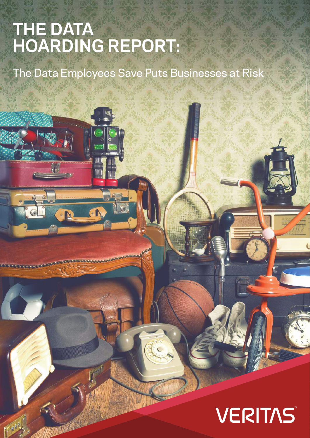# The Data Hoarding Report | The Data Employees Save Puts Businesses at Risk **THE DATA HOARDING REPORT:**

N

**FARE** 

The Data Employees Save Puts Businesses at Risk

# VERITAST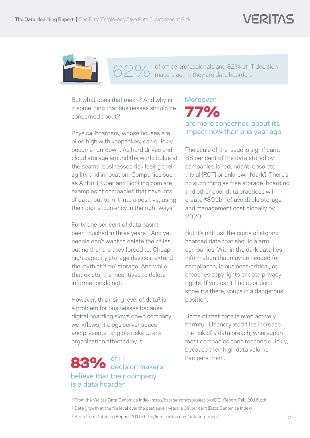

of office professionals and 82% of IT decision 62% of office professionals and 82% of IT

But what does that mean? And why is it something that businesses should be concerned about?

Physical hoarders, whose houses are piled high with keepsakes, can quickly become run-down. As hard drives and cloud storage around the world bulge at the seams, businesses risk losing their agility and innovation. Companies such as AirBnB, Uber and Booking.com are examples of companies that have lots of data, but turn it into a positive, using their digital currency in the right ways.

Forty one per cent of data hasn't been touched in three years<sup>1</sup>. And yet people don't want to delete their files, but neither are they forced to. Cheap, high capacity storage devices, extend the myth of 'free' storage. And while that exists, the incentives to delete information do not.

However, this rising level of data<sup>2</sup> is a problem for businesses because digital hoarding slows down company workflows, it clogs server space and presents tangible risks to any organisation affected by it.

### believe that their company is a data hoarder 83% of IT<br>decision makers

#### are more concerned about its impact now than one year ago 77% Moreover,

The scale of the issue is significant. 86 per cent of the data stored by companies is redundant, obsolete, trivial (ROT) or unknown ('dark'). There's no such thing as free storage: hoarding and other poor data practices will create \$891bn of avoidable storage and management cost globally by 20203.

But it's not just the costs of storing hoarded data that should alarm companies. Within the dark data lies information that may be needed for compliance, is business-critical, or breaches copyrights or data privacy rights. If you can't find it, or don't know it's there, you're in a dangerous position.

Some of that data is even actively harmful. Unencrypted files increase the risk of a data breach, whereupon most companies can't respond quickly, because their high data volume hampers them.

<sup>1</sup> From the Veritas Data Genomics Index: http://datagenomicsproject.org/DGI-Report-Feb-2016.pdf

<sup>&</sup>lt;sup>2</sup> Data growth at the file level over the past seven years is 39 per cent (Data Genomics Index)

<sup>&</sup>lt;sup>3</sup> Stats from Databerg Report 2015: http://info.veritas.com/databerg report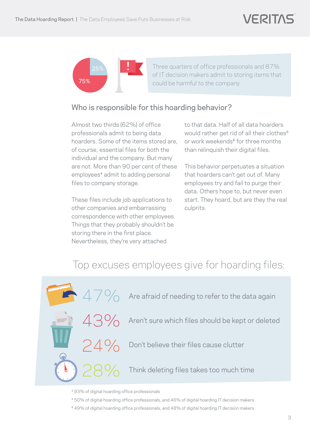

Three quarters of office professionals and 87% of IT decision makers admit to storing items that could be harmful to the company

#### Who is responsible for this hoarding behavior?

Almost two thirds (62%) of office professionals admit to being data hoarders. Some of the items stored are, of course, essential files for both the individual and the company. But many are not. More than 90 per cent of these employees<sup>4</sup> admit to adding personal files to company storage.

These files include job applications to other companies and embarrassing correspondence with other employees. Things that they probably shouldn't be storing there in the first place. Nevertheless, they're very attached

to that data. Half of all data hoarders would rather get rid of all their clothes<sup>5</sup> or work weekends<sup>6</sup> for three months than relinquish their digital files.

This behavior perpetuates a situation that hoarders can't get out of. Many employees try and fail to purge their data. Others hope to, but never even start. They hoard, but are they the real culprits.

## Top excuses employees give for hoarding files:



⁴ 93% of digital hoarding office professionals

- ⁵ 50% of digital hoarding office professionals, and 46% of digital hoarding IT decision makers
- ⁶ 49% of digital hoarding office professionals, and 48% of digital hoarding IT decision makers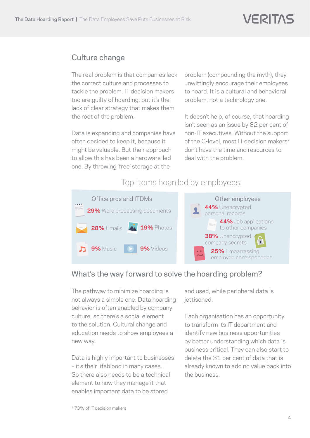#### Culture change

The real problem is that companies lack the correct culture and processes to tackle the problem. IT decision makers too are guilty of hoarding, but it's the lack of clear strategy that makes them the root of the problem.

Data is expanding and companies have often decided to keep it, because it might be valuable. But their approach to allow this has been a hardware-led one. By throwing 'free' storage at the

problem (compounding the myth), they unwittingly encourage their employees to hoard. It is a cultural and behavioral problem, not a technology one.

It doesn't help, of course, that hoarding isn't seen as an issue by 82 per cent of non-IT executives. Without the support of the C-level, most IT decision makers<sup>7</sup> don't have the time and resources to deal with the problem.

Top items hoarded by employees:



#### What's the way forward to solve the hoarding problem?

**Security** not always a simple one. Data hoarding education needs to show employees a **district** the matter The pathway to minimize hoarding is behavior is often enabled by company culture, so there's a social element to the solution. Cultural change and new way.

Data is highly important to businesses – it's their lifeblood in many cases. So there also needs to be a technical element to how they manage it that enables important data to be stored

and used, while peripheral data is iettisoned.

ortant to businesses the east of each ordata that is<br>d in many cases. The adready known to add no value back into Each organisation has an opportunity to transform its IT department and identify new business opportunities by better understanding which data is business critical. They can also start to delete the 31 per cent of data that is the business.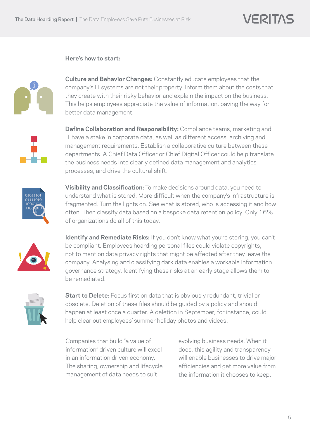#### **Here's how to start:**



**Culture and Behavior Changes:** Constantly educate employees that the company's IT systems are not their property. Inform them about the costs that they create with their risky behavior and explain the impact on the business. This helps employees appreciate the value of information, paving the way for better data management.

**Define Collaboration and Responsibility:** Compliance teams, marketing and IT have a stake in corporate data, as well as different access, archiving and management requirements. Establish a collaborative culture between these departments. A Chief Data Officer or Chief Digital Officer could help translate the business needs into clearly defined data management and analytics processes, and drive the cultural shift.



**Visibility and Classification:** To make decisions around data, you need to understand what is stored. More difficult when the company's infrastructure is fragmented. Turn the lights on. See what is stored, who is accessing it and how often. Then classify data based on a bespoke data retention policy. Only 16% of organizations do all of this today.



**Identify and Remediate Risks:** If you don't know what you're storing, you can't be compliant. Employees hoarding personal files could violate copyrights, not to mention data privacy rights that might be affected after they leave the company. Analysing and classifying dark data enables a workable information governance strategy. Identifying these risks at an early stage allows them to be remediated.



**Start to Delete:** Focus first on data that is obviously redundant, trivial or obsolete. Deletion of these files should be guided by a policy and should happen at least once a quarter. A deletion in September, for instance, could help clear out employees' summer holiday photos and videos.

Companies that build "a value of information" driven culture will excel in an information driven economy. The sharing, ownership and lifecycle management of data needs to suit

evolving business needs. When it does, this agility and transparency will enable businesses to drive major efficiencies and get more value from the information it chooses to keep.